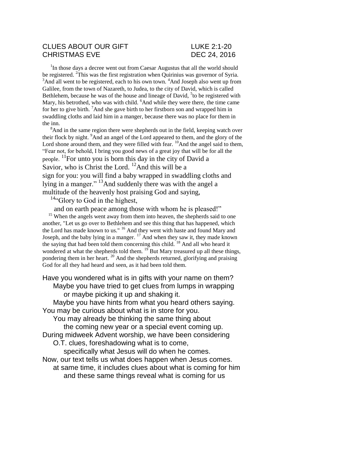## CLUES ABOUT OUR GIFT LUKE 2:1-20 CHRISTMAS EVE DEC 24, 2016

<sup>1</sup>In those days a decree went out from Caesar Augustus that all the world should be registered. <sup>2</sup>This was the first registration when Quirinius was governor of Syria.  $3$ And all went to be registered, each to his own town.  $4$ And Joseph also went up from Galilee, from the town of Nazareth, to Judea, to the city of David, which is called Bethlehem, because he was of the house and lineage of David, <sup>5</sup> to be registered with Mary, his betrothed, who was with child. <sup>6</sup>And while they were there, the time came for her to give birth. <sup>7</sup>And she gave birth to her firstborn son and wrapped him in swaddling cloths and laid him in a manger, because there was no place for them in the inn.

<sup>8</sup>And in the same region there were shepherds out in the field, keeping watch over their flock by night. <sup>9</sup>And an angel of the Lord appeared to them, and the glory of the Lord shone around them, and they were filled with fear.  $^{10}$ And the angel said to them, "Fear not, for behold, I bring you good news of a great joy that will be for all the people. <sup>11</sup>For unto you is born this day in the city of David a Savior, who is Christ the Lord.  $^{12}$ And this will be a sign for you: you will find a baby wrapped in swaddling cloths and lying in a manger." <sup>13</sup>And suddenly there was with the angel a multitude of the heavenly host praising God and saying,

 $14$ "Glory to God in the highest,

and on earth peace among those with whom he is pleased!"

<sup>15</sup> When the angels went away from them into heaven, the shepherds said to one another, "Let us go over to Bethlehem and see this thing that has happened, which the Lord has made known to us." <sup>16</sup> And they went with haste and found Mary and Joseph, and the baby lying in a manger.  $^{17}$  And when they saw it, they made known the saying that had been told them concerning this child. <sup>18</sup> And all who heard it wondered at what the shepherds told them. <sup>19</sup> But Mary treasured up all these things, pondering them in her heart. <sup>20</sup> And the shepherds returned, glorifying and praising God for all they had heard and seen, as it had been told them.

Have you wondered what is in gifts with your name on them? Maybe you have tried to get clues from lumps in wrapping or maybe picking it up and shaking it.

Maybe you have hints from what you heard others saying. You may be curious about what is in store for you.

You may already be thinking the same thing about

the coming new year or a special event coming up.

During midweek Advent worship, we have been considering

O.T. clues, foreshadowing what is to come,

specifically what Jesus will do when he comes.

Now, our text tells us what does happen when Jesus comes.

at same time, it includes clues about what is coming for him and these same things reveal what is coming for us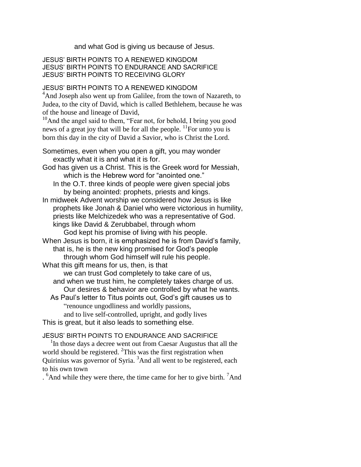and what God is giving us because of Jesus.

JESUS' BIRTH POINTS TO A RENEWED KINGDOM JESUS' BIRTH POINTS TO ENDURANCE AND SACRIFICE JESUS' BIRTH POINTS TO RECEIVING GLORY

## JESUS' BIRTH POINTS TO A RENEWED KINGDOM

<sup>4</sup>And Joseph also went up from Galilee, from the town of Nazareth, to Judea, to the city of David, which is called Bethlehem, because he was of the house and lineage of David,

<sup>10</sup>And the angel said to them, "Fear not, for behold, I bring you good news of a great joy that will be for all the people.  $\frac{11}{10}$  For unto you is born this day in the city of David a Savior, who is Christ the Lord.

Sometimes, even when you open a gift, you may wonder exactly what it is and what it is for.

- God has given us a Christ. This is the Greek word for Messiah, which is the Hebrew word for "anointed one."
	- In the O.T. three kinds of people were given special jobs by being anointed: prophets, priests and kings.

In midweek Advent worship we considered how Jesus is like prophets like Jonah & Daniel who were victorious in humility, priests like Melchizedek who was a representative of God. kings like David & Zerubbabel, through whom

God kept his promise of living with his people. When Jesus is born, it is emphasized he is from David's family, that is, he is the new king promised for God's people through whom God himself will rule his people.

What this gift means for us, then, is that we can trust God completely to take care of us, and when we trust him, he completely takes charge of us. Our desires & behavior are controlled by what he wants. As Paul's letter to Titus points out, God's gift causes us to

"renounce ungodliness and worldly passions, and to live self-controlled, upright, and godly lives This is great, but it also leads to something else.

## JESUS' BIRTH POINTS TO ENDURANCE AND SACRIFICE

<sup>1</sup>In those days a decree went out from Caesar Augustus that all the world should be registered.  ${}^{2}$ This was the first registration when Quirinius was governor of Syria. <sup>3</sup>And all went to be registered, each to his own town

<sup>6</sup>And while they were there, the time came for her to give birth. <sup>7</sup>And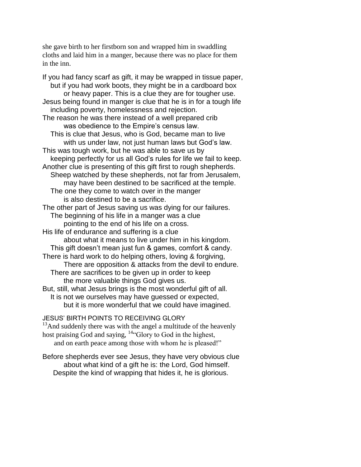she gave birth to her firstborn son and wrapped him in swaddling cloths and laid him in a manger, because there was no place for them in the inn.

If you had fancy scarf as gift, it may be wrapped in tissue paper, but if you had work boots, they might be in a cardboard box or heavy paper. This is a clue they are for tougher use. Jesus being found in manger is clue that he is in for a tough life including poverty, homelessness and rejection. The reason he was there instead of a well prepared crib was obedience to the Empire's census law. This is clue that Jesus, who is God, became man to live with us under law, not just human laws but God's law. This was tough work, but he was able to save us by keeping perfectly for us all God's rules for life we fail to keep. Another clue is presenting of this gift first to rough shepherds. Sheep watched by these shepherds, not far from Jerusalem, may have been destined to be sacrificed at the temple. The one they come to watch over in the manger is also destined to be a sacrifice. The other part of Jesus saving us was dying for our failures. The beginning of his life in a manger was a clue pointing to the end of his life on a cross. His life of endurance and suffering is a clue about what it means to live under him in his kingdom. This gift doesn't mean just fun & games, comfort & candy. There is hard work to do helping others, loving & forgiving, There are opposition & attacks from the devil to endure. There are sacrifices to be given up in order to keep the more valuable things God gives us. But, still, what Jesus brings is the most wonderful gift of all. It is not we ourselves may have guessed or expected, but it is more wonderful that we could have imagined.

JESUS' BIRTH POINTS TO RECEIVING GLORY

 $13$ And suddenly there was with the angel a multitude of the heavenly host praising God and saying, <sup>14"</sup>Glory to God in the highest, and on earth peace among those with whom he is pleased!"

Before shepherds ever see Jesus, they have very obvious clue about what kind of a gift he is: the Lord, God himself. Despite the kind of wrapping that hides it, he is glorious.